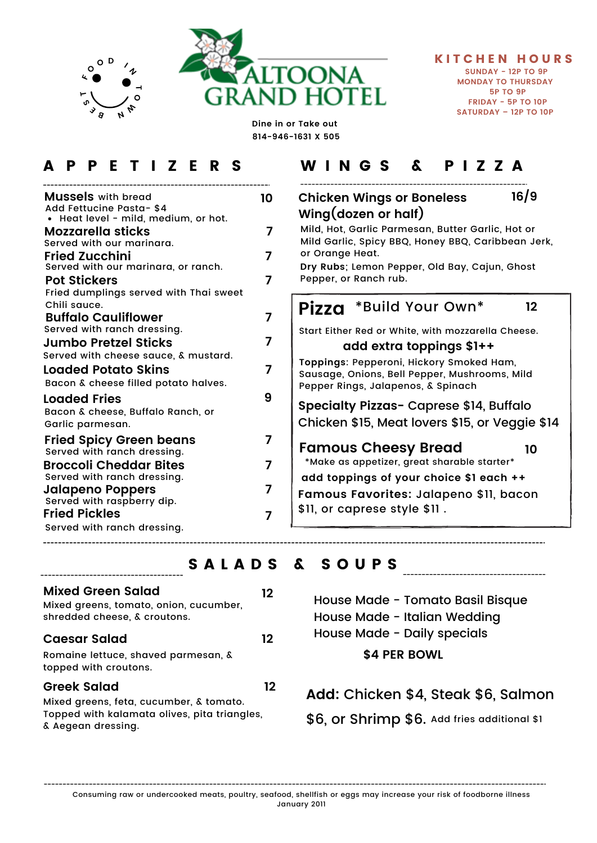

**Dine in or Take out 814-946-1631 X 505**

— **O <sup>W</sup> N**

**<sup>B</sup> <sup>E</sup> S T FO<sup>O</sup> <sup>D</sup> <sup>I</sup> <sup>N</sup>**

| <b>Mussels</b> with bread<br>Add Fettucine Pasta-\$4                                          | 10 |
|-----------------------------------------------------------------------------------------------|----|
| • Heat level - mild, medium, or hot.<br><b>Mozzarella sticks</b><br>Served with our marinara. | 7  |
| <b>Fried Zucchini</b><br>Served with our marinara, or ranch.                                  | 7  |
| <b>Pot Stickers</b><br>Fried dumplings served with Thai sweet                                 |    |
| Chili sauce.<br><b>Buffalo Cauliflower</b><br>Served with ranch dressing.                     | 7  |
| <b>Jumbo Pretzel Sticks</b><br>Served with cheese sauce, & mustard.                           | 7  |
| <b>Loaded Potato Skins</b><br>Bacon & cheese filled potato halves.                            | 7  |
| <b>Loaded Fries</b><br>Bacon & cheese, Buffalo Ranch, or<br>Garlic parmesan.                  | 9  |
| <b>Fried Spicy Green beans</b><br>Served with ranch dressing.                                 |    |
| <b>Broccoli Cheddar Bites</b><br>Served with ranch dressing.                                  |    |
| Jalapeno Poppers<br>Served with raspberry dip.                                                |    |
| <b>Fried Pickles</b><br>Served with ranch dressing.                                           |    |
|                                                                                               |    |

### A P P E T I Z E R S W I N G S & P I Z Z A

### **Chicken Wings or Boneless 10 16/9 Wing(dozen or half)** Mild, Hot, Garlic Parmesan, Butter Garlic, Hot or

Mild Garlic, Spicy BBQ, Honey BBQ, Caribbean Jerk, or Orange Heat. **Dry Rubs**; Lemon Pepper, Old Bay, Cajun, Ghost Pepper, or Ranch rub.

#### **Pizza** \*Build Your Own\* Start Either Red or White, with mozzarella Cheese. **12 add extra toppings \$1++**

**Toppings**: Pepperoni, Hickory Smoked Ham, Sausage, Onions, Bell Pepper, Mushrooms, Mild Pepper Rings, Jalapenos, & Spinach

**Specialty Pizzas-** Caprese \$14, Buffalo Chicken \$15, Meat lovers \$15, or Veggie \$14

**Famous Cheesy Bread 10**

**add toppings of your choice \$1 each ++** \*Make as appetizer, great sharable starter\* **Famous Favorites:** Jalapeno \$11, bacon \$11, or caprese style \$11 .

## SALADS & SOUPS

| <b>Mixed Green Salad</b><br>Mixed greens, tomato, onion, cucumber,<br>shredded cheese, & croutons.            | 12 |
|---------------------------------------------------------------------------------------------------------------|----|
| <b>Caesar Salad</b>                                                                                           | 12 |
| Romaine lettuce, shaved parmesan, &<br>topped with croutons.                                                  |    |
| <b>Greek Salad</b>                                                                                            | 12 |
| Mixed greens, feta, cucumber, & tomato.<br>Topped with kalamata olives, pita triangles,<br>& Aegean dressing. |    |

House Made - Tomato Basil Bisque House Made - Italian Wedding House Made - Daily specials

**\$4 PER BOWL**

**Add:** Chicken \$4, Steak \$6, Salmon

\$6, or Shrimp \$6. Add fries additional \$1

Consuming raw or undercooked meats, poultry, seafood, shellfish or eggs may increase your risk of foodborne illness

January 2011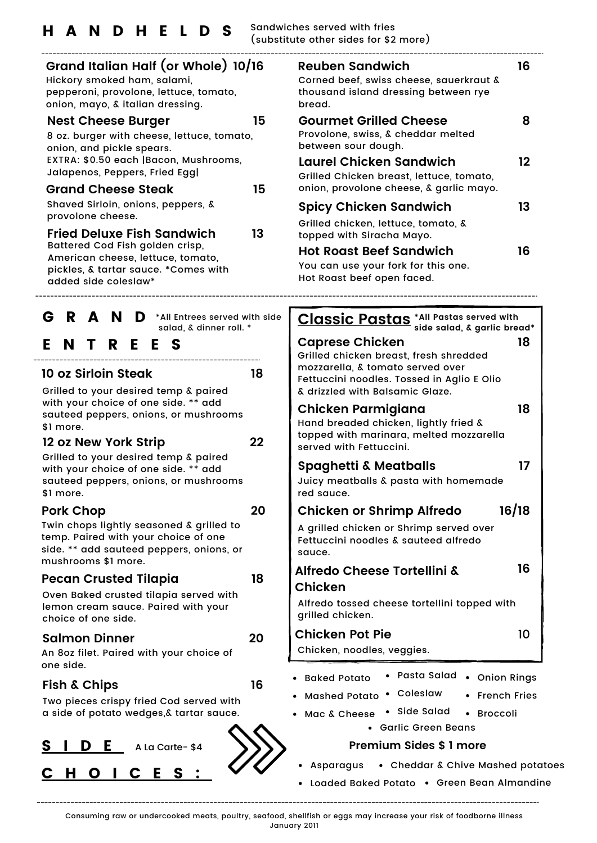| Grand Italian Half (or Whole) 10/16<br>Hickory smoked ham, salami,<br>pepperoni, provolone, lettuce, tomato,<br>onion, mayo, & italian dressing.    |    | <b>Reuben Sandwich</b><br>Corned beef, swiss cheese, sauerkraut<br>thousand island dressing between rye<br>bread.                                                                    |
|-----------------------------------------------------------------------------------------------------------------------------------------------------|----|--------------------------------------------------------------------------------------------------------------------------------------------------------------------------------------|
| <b>Nest Cheese Burger</b><br>8 oz. burger with cheese, lettuce, tomato,<br>onion, and pickle spears.                                                | 15 | <b>Gourmet Grilled Cheese</b><br>Provolone, swiss, & cheddar melted<br>between sour dough.                                                                                           |
| EXTRA: \$0.50 each   Bacon, Mushrooms,<br>Jalapenos, Peppers, Fried Egg                                                                             |    | Laurel Chicken Sandwich<br>Grilled Chicken breast, lettuce, tomato,                                                                                                                  |
| <b>Grand Cheese Steak</b>                                                                                                                           | 15 | onion, provolone cheese, & garlic mayo                                                                                                                                               |
| Shaved Sirloin, onions, peppers, &<br>provolone cheese.                                                                                             |    | Spicy Chicken Sandwich                                                                                                                                                               |
| Fried Deluxe Fish Sandwich                                                                                                                          | 13 | Grilled chicken, lettuce, tomato, &<br>topped with Siracha Mayo.                                                                                                                     |
| Battered Cod Fish golden crisp,<br>American cheese, lettuce, tomato,                                                                                |    | <b>Hot Roast Beef Sandwich</b>                                                                                                                                                       |
| pickles, & tartar sauce. *Comes with<br>added side coleslaw*                                                                                        |    | You can use your fork for this one.<br>Hot Roast beef open faced.                                                                                                                    |
| R A N<br>G<br>*All Entrees served with side<br>D                                                                                                    |    |                                                                                                                                                                                      |
| salad, & dinner roll. *                                                                                                                             |    | <b>Classic Pastas</b> *All Pastas served<br>side salad, & garl                                                                                                                       |
| E.<br>E.<br>N<br>T<br>R.<br>E.<br>S<br>10 oz Sirloin Steak<br>Grilled to your desired temp & paired                                                 | 18 | <b>Caprese Chicken</b><br>Grilled chicken breast, fresh shredded<br>mozzarella, & tomato served over<br>Fettuccini noodles. Tossed in Aglio E Oli<br>& drizzled with Balsamic Glaze. |
| with your choice of one side. ** add<br>sauteed peppers, onions, or mushrooms<br>\$1 more.                                                          | 22 | Chicken Parmigiana<br>Hand breaded chicken, lightly fried &<br>topped with marinara, melted mozzare                                                                                  |
| 12 oz New York Strip<br>Grilled to your desired temp & paired                                                                                       |    | served with Fettuccini.                                                                                                                                                              |
| with your choice of one side. ** add<br>sauteed peppers, onions, or mushrooms<br>\$1 more.                                                          |    | <b>Spaghetti &amp; Meatballs</b><br>Juicy meatballs & pasta with homema<br>red sauce.                                                                                                |
| <b>Pork Chop</b>                                                                                                                                    | 20 | <b>Chicken or Shrimp Alfredo</b>                                                                                                                                                     |
| Twin chops lightly seasoned & grilled to<br>temp. Paired with your choice of one<br>side. ** add sauteed peppers, onions, or<br>mushrooms \$1 more. |    | A grilled chicken or Shrimp served over<br>Fettuccini noodles & sauteed alfredo<br>sauce.                                                                                            |
| <b>Pecan Crusted Tilapia</b>                                                                                                                        | 18 | Alfredo Cheese Tortellini &                                                                                                                                                          |
| Oven Baked crusted tilapia served with<br>lemon cream sauce. Paired with your<br>choice of one side.                                                |    | <b>Chicken</b><br>Alfredo tossed cheese tortellini topped<br>grilled chicken.                                                                                                        |
| <b>Salmon Dinner</b>                                                                                                                                | 20 | <b>Chicken Pot Pie</b>                                                                                                                                                               |
| An 8oz filet. Paired with your choice of<br>one side.                                                                                               |    | Chicken, noodles, veggies.                                                                                                                                                           |
| <b>Fish &amp; Chips</b>                                                                                                                             | 16 | Pasta Salad<br>Oni<br>Baked Potato                                                                                                                                                   |
| Two pieces crispy fried Cod served with                                                                                                             |    | • Coleslaw<br><b>Mashed Potato</b><br>Fre<br>• Side Salad                                                                                                                            |
| a side of potato wedges, & tartar sauce.                                                                                                            |    | Mac & Cheese<br>• Bro<br><b>Garlic Green Beans</b>                                                                                                                                   |
| S<br>A La Carte-\$4                                                                                                                                 |    | <b>Premium Sides \$1 more</b>                                                                                                                                                        |
| $H$ $O$ $H$ $C$                                                                                                                                     |    | <b>Asparagus</b><br>• Cheddar & Chive Ma                                                                                                                                             |

C H O I C E S :

| 16 | <b>Reuben Sandwich</b><br>Corned beef, swiss cheese, sauerkraut &<br>thousand island dressing between rye<br>bread. | 16 |
|----|---------------------------------------------------------------------------------------------------------------------|----|
| 15 | <b>Gourmet Grilled Cheese</b><br>Provolone, swiss, & cheddar melted<br>between sour dough.                          |    |
| 15 | Laurel Chicken Sandwich<br>Grilled Chicken breast, lettuce, tomato,<br>onion, provolone cheese, & garlic mayo.      | 12 |
| 13 | <b>Spicy Chicken Sandwich</b><br>Grilled chicken, lettuce, tomato, &<br>topped with Siracha Mayo.                   | 13 |
|    | <b>Hot Roast Beef Sandwich</b><br>You can use your fork for this one                                                | 16 |

| <b>Classic Pastas</b> *All Pastas served with<br>side salad, & garlic bread*                                                                                                          |       |
|---------------------------------------------------------------------------------------------------------------------------------------------------------------------------------------|-------|
| <b>Caprese Chicken</b><br>Grilled chicken breast, fresh shredded<br>mozzarella, & tomato served over<br>Fettuccini noodles. Tossed in Aglio E Olio<br>& drizzled with Balsamic Glaze. | 18    |
| Chicken Parmigiana<br>Hand breaded chicken, lightly fried &<br>topped with marinara, melted mozzarella<br>served with Fettuccini.                                                     | 18    |
| <b>Spaghetti &amp; Meatballs</b><br>Juicy meatballs & pasta with homemade<br>red sauce.                                                                                               | 17    |
| <b>Chicken or Shrimp Alfredo</b>                                                                                                                                                      | 16/18 |
| A grilled chicken or Shrimp served over<br>Fettuccini noodles & sauteed alfredo<br>sauce.                                                                                             |       |
| <b>Alfredo Cheese Tortellini &amp;</b>                                                                                                                                                | 16    |
| <b>Chicken</b>                                                                                                                                                                        |       |
| Alfredo tossed cheese tortellini topped with<br>grilled chicken.                                                                                                                      |       |
| <b>Chicken Pot Pie</b><br>Chicken, noodles, veggies.                                                                                                                                  | 10    |
| Pasta Salad . Onion Rings<br><b>Baked Potato</b>                                                                                                                                      |       |
| Coleslaw<br><b>French Fries</b><br><b>Mashed Potato</b>                                                                                                                               |       |
| - Side Salad<br><b>Broccoli</b><br>Mac & Cheese                                                                                                                                       |       |
| Garlic Green Beans                                                                                                                                                                    |       |
|                                                                                                                                                                                       |       |

### **Premium Sides \$ 1 more**

- Asparagus Cheddar & Chive Mashed potatoes
- Loaded Baked Potato Green Bean Almandine

Consuming raw or undercooked meats, poultry, seafood, shellfish or eggs may increase your risk of foodborne illness

January 2011